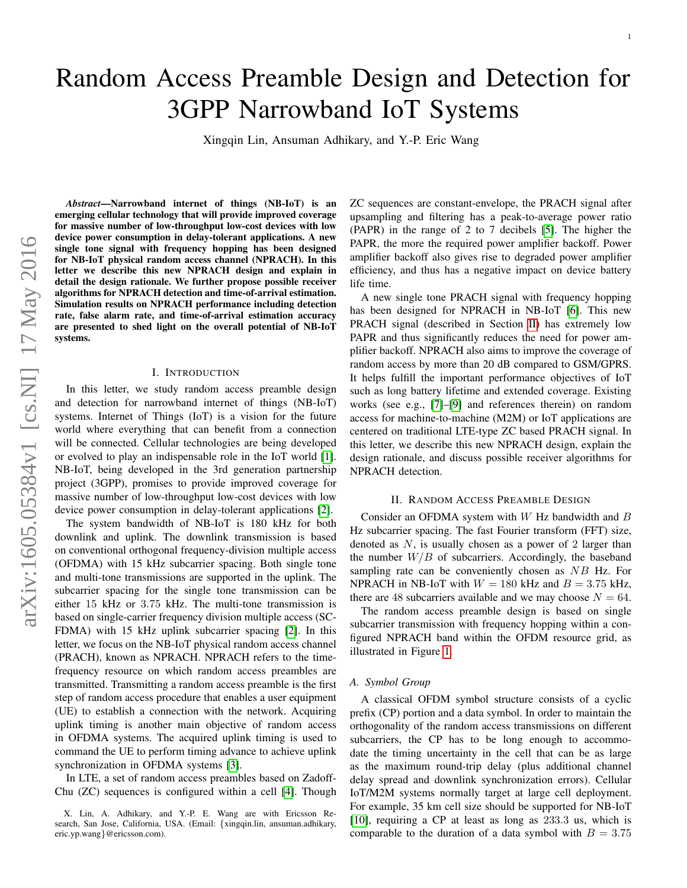# Random Access Preamble Design and Detection for 3GPP Narrowband IoT Systems

Xingqin Lin, Ansuman Adhikary, and Y.-P. Eric Wang

*Abstract*—Narrowband internet of things (NB-IoT) is an emerging cellular technology that will provide improved coverage for massive number of low-throughput low-cost devices with low device power consumption in delay-tolerant applications. A new single tone signal with frequency hopping has been designed for NB-IoT physical random access channel (NPRACH). In this letter we describe this new NPRACH design and explain in detail the design rationale. We further propose possible receiver algorithms for NPRACH detection and time-of-arrival estimation. Simulation results on NPRACH performance including detection rate, false alarm rate, and time-of-arrival estimation accuracy are presented to shed light on the overall potential of NB-IoT systems.

#### I. INTRODUCTION

In this letter, we study random access preamble design and detection for narrowband internet of things (NB-IoT) systems. Internet of Things (IoT) is a vision for the future world where everything that can benefit from a connection will be connected. Cellular technologies are being developed or evolved to play an indispensable role in the IoT world [\[1\]](#page-3-0). NB-IoT, being developed in the 3rd generation partnership project (3GPP), promises to provide improved coverage for massive number of low-throughput low-cost devices with low device power consumption in delay-tolerant applications [\[2\]](#page-3-1).

The system bandwidth of NB-IoT is 180 kHz for both downlink and uplink. The downlink transmission is based on conventional orthogonal frequency-division multiple access (OFDMA) with 15 kHz subcarrier spacing. Both single tone and multi-tone transmissions are supported in the uplink. The subcarrier spacing for the single tone transmission can be either 15 kHz or 3.75 kHz. The multi-tone transmission is based on single-carrier frequency division multiple access (SC-FDMA) with 15 kHz uplink subcarrier spacing [\[2\]](#page-3-1). In this letter, we focus on the NB-IoT physical random access channel (PRACH), known as NPRACH. NPRACH refers to the timefrequency resource on which random access preambles are transmitted. Transmitting a random access preamble is the first step of random access procedure that enables a user equipment (UE) to establish a connection with the network. Acquiring uplink timing is another main objective of random access in OFDMA systems. The acquired uplink timing is used to command the UE to perform timing advance to achieve uplink synchronization in OFDMA systems [\[3\]](#page-3-2).

In LTE, a set of random access preambles based on Zadoff-Chu (ZC) sequences is configured within a cell [\[4\]](#page-3-3). Though ZC sequences are constant-envelope, the PRACH signal after upsampling and filtering has a peak-to-average power ratio (PAPR) in the range of 2 to 7 decibels [\[5\]](#page-3-4). The higher the PAPR, the more the required power amplifier backoff. Power amplifier backoff also gives rise to degraded power amplifier efficiency, and thus has a negative impact on device battery life time.

A new single tone PRACH signal with frequency hopping has been designed for NPRACH in NB-IoT [\[6\]](#page-3-5). This new PRACH signal (described in Section [II\)](#page-0-0) has extremely low PAPR and thus significantly reduces the need for power amplifier backoff. NPRACH also aims to improve the coverage of random access by more than 20 dB compared to GSM/GPRS. It helps fulfill the important performance objectives of IoT such as long battery lifetime and extended coverage. Existing works (see e.g., [\[7\]](#page-3-6)–[\[9\]](#page-3-7) and references therein) on random access for machine-to-machine (M2M) or IoT applications are centered on traditional LTE-type ZC based PRACH signal. In this letter, we describe this new NPRACH design, explain the design rationale, and discuss possible receiver algorithms for NPRACH detection.

# II. RANDOM ACCESS PREAMBLE DESIGN

<span id="page-0-0"></span>Consider an OFDMA system with  $W$  Hz bandwidth and  $B$ Hz subcarrier spacing. The fast Fourier transform (FFT) size, denoted as  $N$ , is usually chosen as a power of 2 larger than the number  $W/B$  of subcarriers. Accordingly, the baseband sampling rate can be conveniently chosen as NB Hz. For NPRACH in NB-IoT with  $W = 180$  kHz and  $B = 3.75$  kHz, there are 48 subcarriers available and we may choose  $N = 64$ .

The random access preamble design is based on single subcarrier transmission with frequency hopping within a configured NPRACH band within the OFDM resource grid, as illustrated in Figure [1.](#page-1-0)

#### *A. Symbol Group*

A classical OFDM symbol structure consists of a cyclic prefix (CP) portion and a data symbol. In order to maintain the orthogonality of the random access transmissions on different subcarriers, the CP has to be long enough to accommodate the timing uncertainty in the cell that can be as large as the maximum round-trip delay (plus additional channel delay spread and downlink synchronization errors). Cellular IoT/M2M systems normally target at large cell deployment. For example, 35 km cell size should be supported for NB-IoT [\[10\]](#page-3-8), requiring a CP at least as long as 233.3 us, which is comparable to the duration of a data symbol with  $B = 3.75$ 

X. Lin, A. Adhikary, and Y.-P. E. Wang are with Ericsson Research, San Jose, California, USA. (Email: {xingqin.lin, ansuman.adhikary, eric.yp.wang}@ericsson.com).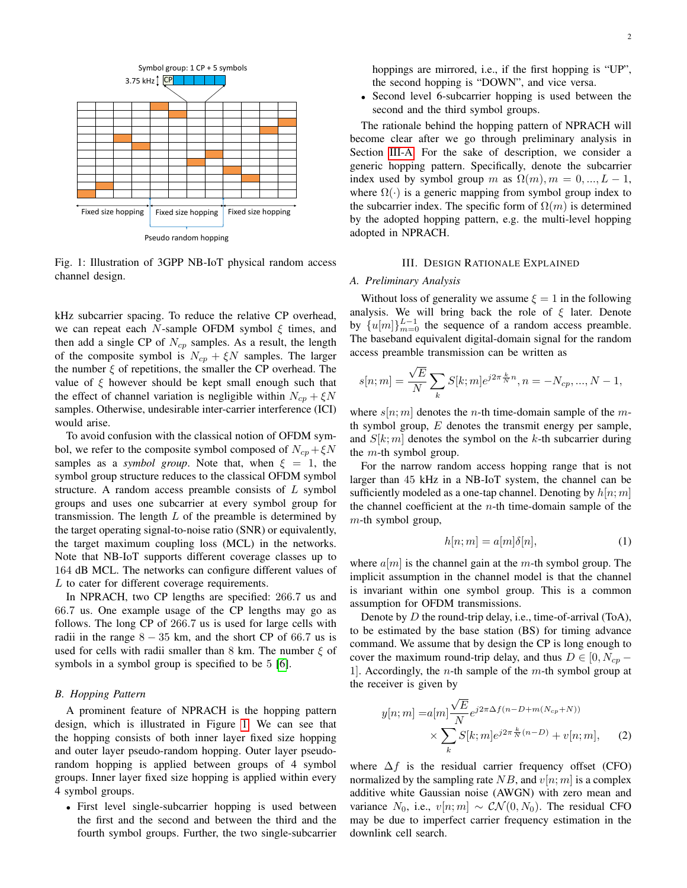<span id="page-1-0"></span>

Fig. 1: Illustration of 3GPP NB-IoT physical random access channel design.

kHz subcarrier spacing. To reduce the relative CP overhead, we can repeat each N-sample OFDM symbol  $\xi$  times, and then add a single CP of  $N_{cp}$  samples. As a result, the length of the composite symbol is  $N_{cp} + \xi N$  samples. The larger the number  $\xi$  of repetitions, the smaller the CP overhead. The value of  $\xi$  however should be kept small enough such that the effect of channel variation is negligible within  $N_{cr} + \xi N$ samples. Otherwise, undesirable inter-carrier interference (ICI) would arise.

To avoid confusion with the classical notion of OFDM symbol, we refer to the composite symbol composed of  $N_{cp} + \xi N$ samples as a *symbol group*. Note that, when  $\xi = 1$ , the symbol group structure reduces to the classical OFDM symbol structure. A random access preamble consists of  $L$  symbol groups and uses one subcarrier at every symbol group for transmission. The length  $L$  of the preamble is determined by the target operating signal-to-noise ratio (SNR) or equivalently, the target maximum coupling loss (MCL) in the networks. Note that NB-IoT supports different coverage classes up to 164 dB MCL. The networks can configure different values of L to cater for different coverage requirements.

In NPRACH, two CP lengths are specified: 266.7 us and 66.7 us. One example usage of the CP lengths may go as follows. The long CP of 266.7 us is used for large cells with radii in the range  $8 - 35$  km, and the short CP of 66.7 us is used for cells with radii smaller than 8 km. The number  $\xi$  of symbols in a symbol group is specified to be 5 [\[6\]](#page-3-5).

## *B. Hopping Pattern*

A prominent feature of NPRACH is the hopping pattern design, which is illustrated in Figure [1.](#page-1-0) We can see that the hopping consists of both inner layer fixed size hopping and outer layer pseudo-random hopping. Outer layer pseudorandom hopping is applied between groups of 4 symbol groups. Inner layer fixed size hopping is applied within every 4 symbol groups.

• First level single-subcarrier hopping is used between the first and the second and between the third and the fourth symbol groups. Further, the two single-subcarrier hoppings are mirrored, i.e., if the first hopping is "UP", the second hopping is "DOWN", and vice versa.

• Second level 6-subcarrier hopping is used between the second and the third symbol groups.

The rationale behind the hopping pattern of NPRACH will become clear after we go through preliminary analysis in Section [III-A.](#page-1-1) For the sake of description, we consider a generic hopping pattern. Specifically, denote the subcarrier index used by symbol group m as  $\Omega(m), m = 0, ..., L - 1$ , where  $\Omega(\cdot)$  is a generic mapping from symbol group index to the subcarrier index. The specific form of  $\Omega(m)$  is determined by the adopted hopping pattern, e.g. the multi-level hopping adopted in NPRACH.

## III. DESIGN RATIONALE EXPLAINED

## <span id="page-1-2"></span><span id="page-1-1"></span>*A. Preliminary Analysis*

Without loss of generality we assume  $\xi = 1$  in the following analysis. We will bring back the role of  $\xi$  later. Denote by  ${u[m]}_{m=0}^{L-1}$  the sequence of a random access preamble. The baseband equivalent digital-domain signal for the random access preamble transmission can be written as

$$
s[n;m] = \frac{\sqrt{E}}{N} \sum_{k} S[k;m] e^{j2\pi \frac{k}{N}n}, n = -N_{cp}, ..., N-1,
$$

where  $s[n; m]$  denotes the *n*-th time-domain sample of the *m*th symbol group,  $E$  denotes the transmit energy per sample, and  $S[k;m]$  denotes the symbol on the k-th subcarrier during the  $m$ -th symbol group.

For the narrow random access hopping range that is not larger than 45 kHz in a NB-IoT system, the channel can be sufficiently modeled as a one-tap channel. Denoting by  $h[n; m]$ the channel coefficient at the  $n$ -th time-domain sample of the  $m$ -th symbol group,

$$
h[n;m] = a[m]\delta[n],\tag{1}
$$

where  $a[m]$  is the channel gain at the m-th symbol group. The implicit assumption in the channel model is that the channel is invariant within one symbol group. This is a common assumption for OFDM transmissions.

Denote by D the round-trip delay, i.e., time-of-arrival (ToA), to be estimated by the base station (BS) for timing advance command. We assume that by design the CP is long enough to cover the maximum round-trip delay, and thus  $D \in [0, N_{cp} -$ 1]. Accordingly, the *n*-th sample of the *m*-th symbol group at the receiver is given by

$$
y[n;m] = a[m] \frac{\sqrt{E}}{N} e^{j2\pi\Delta f(n-D+m(N_{cp}+N))}
$$

$$
\times \sum_{k} S[k;m] e^{j2\pi \frac{k}{N}(n-D)} + v[n;m], \qquad (2)
$$

where  $\Delta f$  is the residual carrier frequency offset (CFO) normalized by the sampling rate NB, and  $v[n; m]$  is a complex additive white Gaussian noise (AWGN) with zero mean and variance  $N_0$ , i.e.,  $v[n;m] \sim \mathcal{CN}(0,N_0)$ . The residual CFO may be due to imperfect carrier frequency estimation in the downlink cell search.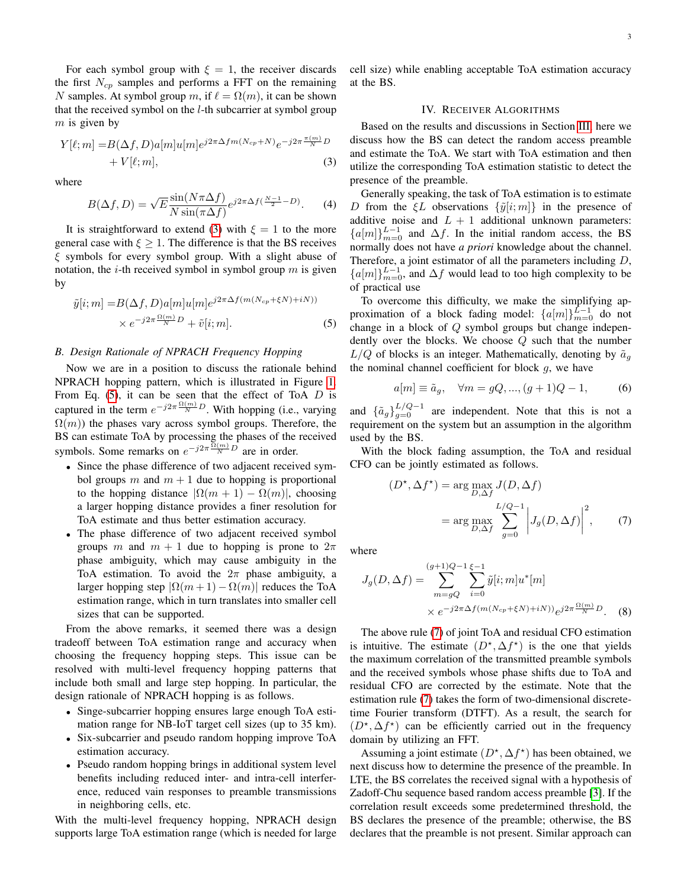For each symbol group with  $\xi = 1$ , the receiver discards the first  $N_{cp}$  samples and performs a FFT on the remaining N samples. At symbol group m, if  $\ell = \Omega(m)$ , it can be shown that the received symbol on the l-th subcarrier at symbol group  $m$  is given by

$$
Y[\ell;m] = B(\Delta f, D)a[m]u[m]e^{j2\pi\Delta fm(N_{cp}+N)}e^{-j2\pi\frac{\pi(m)}{N}D} + V[\ell;m],
$$
\n(3)

where

$$
B(\Delta f, D) = \sqrt{E} \frac{\sin(N\pi\Delta f)}{N\sin(\pi\Delta f)} e^{j2\pi\Delta f(\frac{N-1}{2} - D)}.
$$
 (4)

It is straightforward to extend [\(3\)](#page-2-0) with  $\xi = 1$  to the more general case with  $\xi \geq 1$ . The difference is that the BS receives  $\xi$  symbols for every symbol group. With a slight abuse of notation, the  $i$ -th received symbol in symbol group  $m$  is given by

$$
\tilde{y}[i;m] = B(\Delta f, D)a[m]u[m]e^{j2\pi\Delta f(m(N_{cp} + \xi N) + iN)}
$$

$$
\times e^{-j2\pi \frac{\Omega(m)}{N}D} + \tilde{v}[i;m].
$$
\n(5)

# *B. Design Rationale of NPRACH Frequency Hopping*

Now we are in a position to discuss the rationale behind NPRACH hopping pattern, which is illustrated in Figure [1.](#page-1-0) From Eq.  $(5)$ , it can be seen that the effect of ToA D is captured in the term  $e^{-j2\pi \frac{\Omega(m)}{N}D}$ . With hopping (i.e., varying  $\Omega(m)$ ) the phases vary across symbol groups. Therefore, the BS can estimate ToA by processing the phases of the received symbols. Some remarks on  $e^{-j2\pi \frac{\Omega(m)}{N}D}$  are in order.

- Since the phase difference of two adjacent received symbol groups m and  $m + 1$  due to hopping is proportional to the hopping distance  $|\Omega(m + 1) - \Omega(m)|$ , choosing a larger hopping distance provides a finer resolution for ToA estimate and thus better estimation accuracy.
- The phase difference of two adjacent received symbol groups m and  $m + 1$  due to hopping is prone to  $2\pi$ phase ambiguity, which may cause ambiguity in the ToA estimation. To avoid the  $2\pi$  phase ambiguity, a larger hopping step  $|\Omega(m+1) - \Omega(m)|$  reduces the ToA estimation range, which in turn translates into smaller cell sizes that can be supported.

From the above remarks, it seemed there was a design tradeoff between ToA estimation range and accuracy when choosing the frequency hopping steps. This issue can be resolved with multi-level frequency hopping patterns that include both small and large step hopping. In particular, the design rationale of NPRACH hopping is as follows.

- Singe-subcarrier hopping ensures large enough ToA estimation range for NB-IoT target cell sizes (up to 35 km).
- Six-subcarrier and pseudo random hopping improve ToA estimation accuracy.
- Pseudo random hopping brings in additional system level benefits including reduced inter- and intra-cell interference, reduced vain responses to preamble transmissions in neighboring cells, etc.

With the multi-level frequency hopping, NPRACH design supports large ToA estimation range (which is needed for large cell size) while enabling acceptable ToA estimation accuracy at the BS.

# IV. RECEIVER ALGORITHMS

<span id="page-2-0"></span>Based on the results and discussions in Section [III,](#page-1-2) here we discuss how the BS can detect the random access preamble and estimate the ToA. We start with ToA estimation and then utilize the corresponding ToA estimation statistic to detect the presence of the preamble.

Generally speaking, the task of ToA estimation is to estimate D from the  $\xi L$  observations  $\{\tilde{y}[i;m]\}$  in the presence of additive noise and  $L + 1$  additional unknown parameters:  ${a[m]}_{m=0}^{L-1}$  and  $\Delta f$ . In the initial random access, the BS normally does not have *a priori* knowledge about the channel. Therefore, a joint estimator of all the parameters including D,  ${a[m]}_{m=0}^{L-1}$ , and  $\Delta f$  would lead to too high complexity to be of practical use

<span id="page-2-1"></span>To overcome this difficulty, we make the simplifying approximation of a block fading model:  $\{a[m]\}_{m=0}^{L-1}$  do not change in a block of Q symbol groups but change independently over the blocks. We choose  $Q$  such that the number  $L/Q$  of blocks is an integer. Mathematically, denoting by  $\tilde{a}_q$ the nominal channel coefficient for block  $g$ , we have

$$
a[m] \equiv \tilde{a}_g, \quad \forall m = gQ, ..., (g+1)Q-1,
$$
 (6)

and  $\{\tilde{a}_g\}_{g=0}^{L/Q-1}$  are independent. Note that this is not a requirement on the system but an assumption in the algorithm used by the BS.

With the block fading assumption, the ToA and residual CFO can be jointly estimated as follows.

<span id="page-2-2"></span>
$$
(D^*, \Delta f^*) = \arg \max_{D, \Delta f} J(D, \Delta f)
$$

$$
= \arg \max_{D, \Delta f} \sum_{g=0}^{L/Q-1} \left| J_g(D, \Delta f) \right|^2, \qquad (7)
$$

where

$$
J_g(D, \Delta f) = \sum_{m=gQ}^{(g+1)Q-1} \sum_{i=0}^{\xi-1} \tilde{y}[i; m] u^*[m]
$$
  
 
$$
\times e^{-j2\pi \Delta f(m(N_{cp} + \xi N) + iN))} e^{j2\pi \frac{\Omega(m)}{N}D}.
$$
 (8)

The above rule [\(7\)](#page-2-2) of joint ToA and residual CFO estimation is intuitive. The estimate  $(D^*, \Delta f^*)$  is the one that yields the maximum correlation of the transmitted preamble symbols and the received symbols whose phase shifts due to ToA and residual CFO are corrected by the estimate. Note that the estimation rule [\(7\)](#page-2-2) takes the form of two-dimensional discretetime Fourier transform (DTFT). As a result, the search for  $(D^*, \Delta f^*)$  can be efficiently carried out in the frequency domain by utilizing an FFT.

Assuming a joint estimate  $(D^*, \Delta f^*)$  has been obtained, we next discuss how to determine the presence of the preamble. In LTE, the BS correlates the received signal with a hypothesis of Zadoff-Chu sequence based random access preamble [\[3\]](#page-3-2). If the correlation result exceeds some predetermined threshold, the BS declares the presence of the preamble; otherwise, the BS declares that the preamble is not present. Similar approach can